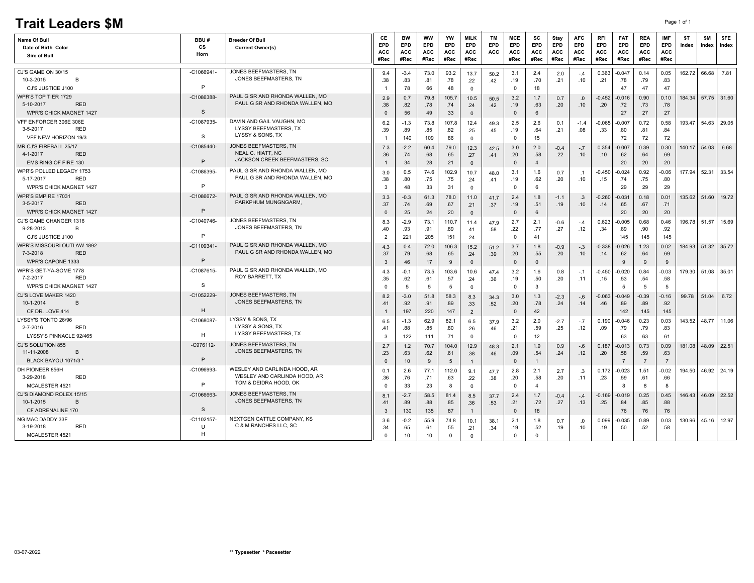## **Trait Leaders \$M** Page 1 of 1

| JONES BEEFMASTERS. TN<br>$-C1066941$<br>CJ'S GAME ON 30/15<br>$-3.4$<br>73.0<br>93.2<br>2.4<br>0.363<br>$-0.047$<br>0.14<br>0.05<br>162.72 66.68<br>7.81<br>3.1<br>9.4<br>13.7<br>2.0<br>50.2<br>$-.4$<br>JONES BEEFMASTERS, TN<br>10-3-2015<br>B<br>.38<br>.83<br>.78<br>.19<br>.70<br>.10<br>.21<br>.78<br>.81<br>.21<br>.79<br>.83<br>.22<br>.42<br>P<br>CJ'S JUSTICE J100<br>78<br>66<br>48<br>$\mathbf 0$<br>18<br>47<br>47<br>47<br>$^{\circ}$<br>PAUL G SR AND RHONDA WALLEN, MO<br>WPR'S TOP TIER 1729<br>$-C1086388$<br>0.7<br>184.34<br>57.75 31.60<br>2.9<br>79.8<br>105.7<br>10.5<br>3.2<br>$-0.452$<br>0.90<br>0.10<br>50.5<br>1.7<br>0.7<br>-0.016<br>.0<br>PAUL G SR AND RHONDA WALLEN. MO<br>5-10-2017<br><b>RED</b><br>.38<br>.82<br>.78<br>.74<br>.19<br>.63<br>.20<br>.10<br>.20<br>.72<br>.73<br>.78<br>.24<br>.42<br>S<br>27<br>56<br>33<br>27<br>27<br><b>WPR'S CHICK MAGNET 1427</b><br>49<br>$\Omega$<br>6<br>$\Omega$<br>$\mathbf{0}$<br>DAVIN AND GAIL VAUGHN, MO<br>VFF ENFORCER 306E 306E<br>-C1087935<br>0.72<br>0.58<br>193.47<br>54.63<br>$-1.3$<br>73.8<br>107.8<br>2.5<br>2.6<br>$-0.065$<br>$-0.007$<br>6.2<br>12.4<br>49.3<br>0.1<br>$-1.4$<br>LYSSY BEEFMASTERS, TX<br>3-5-2017<br><b>RED</b><br>.89<br>.85<br>.19<br>.08<br>.33<br>.81<br>.84<br>.39<br>.82<br>.64<br>.21<br>.80<br>.25<br>.45<br>LYSSY & SONS, TX<br>S<br>VFF NEW HORIZON 19/3<br>15<br>72<br>72<br>140<br>109<br>86<br>$\mathbf 0$<br>$\Omega$<br>72<br>JONES BEEFMASTERS, TN<br>MR CJ'S FIREBALL 25/17<br>$-C1085440-$<br>$-2.2$<br>60.4<br>79.0<br>12.3<br>2.0<br>0.39<br>0.30<br>140.17<br>54.03<br>6.68<br>7.3<br>3.0<br>$-0.4$<br>0.354<br>$-0.007$<br>42.5<br>$-.7$<br>NEAL C. HIATT, NC<br><b>RED</b><br>4-1-2017<br>.58<br>.36<br>.74<br>.68<br>.65<br>.20<br>.22<br>.10<br>.62<br>.64<br>.69<br>.27<br>.10<br>.41<br>JACKSON CREEK BEEFMASTERS, SC<br>P<br>20<br>EMS RING OF FIRE 130<br>34<br>28<br>21<br>$\mathbf{0}$<br>20<br>20<br>$\overline{4}$<br>$\mathbf{0}$<br>PAUL G SR AND RHONDA WALLEN, MO<br>WPR'S POLLED LEGACY 1753<br>-C1086395<br>177.94<br>52.31 33.54<br>0.5<br>74.6<br>102.9<br>$-0.024$<br>0.92<br>$-0.06$<br>10.7<br>3.1<br>1.6<br>$-0.450$<br>3.0<br>48.0<br>0.7<br>$\cdot$ .1<br>PAUL G SR AND RHONDA WALLEN, MO<br>5-17-2017<br>RED<br>.38<br>.80<br>.75<br>.75<br>.19<br>.10<br>.74<br>.75<br>.80<br>.62<br>.20<br>.15<br>.24<br>.41<br>P<br>WPR'S CHICK MAGNET 1427<br>29<br>48<br>33<br>31<br>6<br>29<br>29<br>3<br>$\mathbf 0$<br>$^{\circ}$<br>PAUL G SR AND RHONDA WALLEN. MO<br>WPR'S EMPIRE 17031<br>-C1086672<br>135.62<br>19.72<br>3.3<br>$-0.3$<br>78.0<br>1.8<br>0.18<br>0.01<br>51.60<br>61.3<br>11.0<br>41.7<br>2.4<br>$-1.1$<br>$-0.260$<br>-0.031<br>.3<br>PARKPHUM MUNGNGARM.<br>3-5-2017<br><b>RED</b><br>.37<br>.74<br>.69<br>.67<br>.21<br>.37<br>.19<br>.51<br>.19<br>.10<br>.65<br>.67<br>.71<br>.14 | <b>Name Of Bull</b><br>Date of Birth Color<br>Sire of Bull | BBU#<br>СS<br>Horn | <b>Breeder Of Bull</b><br><b>Current Owner(s)</b> | СE<br>EPD<br>ACC<br>#Rec | <b>BW</b><br>EPD<br><b>ACC</b><br>#Rec | <b>WW</b><br>EPD<br>ACC<br>#Rec | YW<br><b>EPD</b><br>ACC<br>#Rec | <b>MILK</b><br><b>EPD</b><br>ACC<br>#Rec | <b>TM</b><br>EPD<br><b>ACC</b> | <b>MCE</b><br><b>EPD</b><br>ACC<br>#Rec | <b>SC</b><br><b>EPD</b><br><b>ACC</b><br>#Rec | Stay<br><b>EPD</b><br>ACC<br>#Rec | <b>AFC</b><br><b>EPD</b><br>ACC<br>#Rec | <b>RFI</b><br><b>EPD</b><br>ACC<br>#Rec | <b>FAT</b><br>EPD<br><b>ACC</b><br>#Rec | <b>REA</b><br><b>EPD</b><br>ACC<br>#Rec | <b>IMF</b><br><b>EPD</b><br><b>ACC</b><br>#Rec | \$T<br>Index | <b>SM</b><br>index | \$FE<br>index |
|-----------------------------------------------------------------------------------------------------------------------------------------------------------------------------------------------------------------------------------------------------------------------------------------------------------------------------------------------------------------------------------------------------------------------------------------------------------------------------------------------------------------------------------------------------------------------------------------------------------------------------------------------------------------------------------------------------------------------------------------------------------------------------------------------------------------------------------------------------------------------------------------------------------------------------------------------------------------------------------------------------------------------------------------------------------------------------------------------------------------------------------------------------------------------------------------------------------------------------------------------------------------------------------------------------------------------------------------------------------------------------------------------------------------------------------------------------------------------------------------------------------------------------------------------------------------------------------------------------------------------------------------------------------------------------------------------------------------------------------------------------------------------------------------------------------------------------------------------------------------------------------------------------------------------------------------------------------------------------------------------------------------------------------------------------------------------------------------------------------------------------------------------------------------------------------------------------------------------------------------------------------------------------------------------------------------------------------------------------------------------------------------------------------------------------------------------------------------------------------------------------------------------------------------------------------------------------------------------------------------------------------------------------------------------------------------------------------------------------------------------------------------------------------------------------------------------------------------------------------------------|------------------------------------------------------------|--------------------|---------------------------------------------------|--------------------------|----------------------------------------|---------------------------------|---------------------------------|------------------------------------------|--------------------------------|-----------------------------------------|-----------------------------------------------|-----------------------------------|-----------------------------------------|-----------------------------------------|-----------------------------------------|-----------------------------------------|------------------------------------------------|--------------|--------------------|---------------|
|                                                                                                                                                                                                                                                                                                                                                                                                                                                                                                                                                                                                                                                                                                                                                                                                                                                                                                                                                                                                                                                                                                                                                                                                                                                                                                                                                                                                                                                                                                                                                                                                                                                                                                                                                                                                                                                                                                                                                                                                                                                                                                                                                                                                                                                                                                                                                                                                                                                                                                                                                                                                                                                                                                                                                                                                                                                                       |                                                            |                    |                                                   |                          |                                        |                                 |                                 |                                          |                                |                                         |                                               |                                   |                                         |                                         |                                         |                                         |                                                |              |                    |               |
|                                                                                                                                                                                                                                                                                                                                                                                                                                                                                                                                                                                                                                                                                                                                                                                                                                                                                                                                                                                                                                                                                                                                                                                                                                                                                                                                                                                                                                                                                                                                                                                                                                                                                                                                                                                                                                                                                                                                                                                                                                                                                                                                                                                                                                                                                                                                                                                                                                                                                                                                                                                                                                                                                                                                                                                                                                                                       |                                                            |                    |                                                   |                          |                                        |                                 |                                 |                                          |                                |                                         |                                               |                                   |                                         |                                         |                                         |                                         |                                                |              |                    |               |
|                                                                                                                                                                                                                                                                                                                                                                                                                                                                                                                                                                                                                                                                                                                                                                                                                                                                                                                                                                                                                                                                                                                                                                                                                                                                                                                                                                                                                                                                                                                                                                                                                                                                                                                                                                                                                                                                                                                                                                                                                                                                                                                                                                                                                                                                                                                                                                                                                                                                                                                                                                                                                                                                                                                                                                                                                                                                       |                                                            |                    |                                                   |                          |                                        |                                 |                                 |                                          |                                |                                         |                                               |                                   |                                         |                                         |                                         |                                         |                                                |              |                    |               |
|                                                                                                                                                                                                                                                                                                                                                                                                                                                                                                                                                                                                                                                                                                                                                                                                                                                                                                                                                                                                                                                                                                                                                                                                                                                                                                                                                                                                                                                                                                                                                                                                                                                                                                                                                                                                                                                                                                                                                                                                                                                                                                                                                                                                                                                                                                                                                                                                                                                                                                                                                                                                                                                                                                                                                                                                                                                                       |                                                            |                    |                                                   |                          |                                        |                                 |                                 |                                          |                                |                                         |                                               |                                   |                                         |                                         |                                         |                                         |                                                |              |                    |               |
|                                                                                                                                                                                                                                                                                                                                                                                                                                                                                                                                                                                                                                                                                                                                                                                                                                                                                                                                                                                                                                                                                                                                                                                                                                                                                                                                                                                                                                                                                                                                                                                                                                                                                                                                                                                                                                                                                                                                                                                                                                                                                                                                                                                                                                                                                                                                                                                                                                                                                                                                                                                                                                                                                                                                                                                                                                                                       |                                                            |                    |                                                   |                          |                                        |                                 |                                 |                                          |                                |                                         |                                               |                                   |                                         |                                         |                                         |                                         |                                                |              |                    |               |
|                                                                                                                                                                                                                                                                                                                                                                                                                                                                                                                                                                                                                                                                                                                                                                                                                                                                                                                                                                                                                                                                                                                                                                                                                                                                                                                                                                                                                                                                                                                                                                                                                                                                                                                                                                                                                                                                                                                                                                                                                                                                                                                                                                                                                                                                                                                                                                                                                                                                                                                                                                                                                                                                                                                                                                                                                                                                       |                                                            |                    |                                                   |                          |                                        |                                 |                                 |                                          |                                |                                         |                                               |                                   |                                         |                                         |                                         |                                         |                                                |              |                    |               |
|                                                                                                                                                                                                                                                                                                                                                                                                                                                                                                                                                                                                                                                                                                                                                                                                                                                                                                                                                                                                                                                                                                                                                                                                                                                                                                                                                                                                                                                                                                                                                                                                                                                                                                                                                                                                                                                                                                                                                                                                                                                                                                                                                                                                                                                                                                                                                                                                                                                                                                                                                                                                                                                                                                                                                                                                                                                                       |                                                            |                    |                                                   |                          |                                        |                                 |                                 |                                          |                                |                                         |                                               |                                   |                                         |                                         |                                         |                                         |                                                |              |                    | 29.05         |
|                                                                                                                                                                                                                                                                                                                                                                                                                                                                                                                                                                                                                                                                                                                                                                                                                                                                                                                                                                                                                                                                                                                                                                                                                                                                                                                                                                                                                                                                                                                                                                                                                                                                                                                                                                                                                                                                                                                                                                                                                                                                                                                                                                                                                                                                                                                                                                                                                                                                                                                                                                                                                                                                                                                                                                                                                                                                       |                                                            |                    |                                                   |                          |                                        |                                 |                                 |                                          |                                |                                         |                                               |                                   |                                         |                                         |                                         |                                         |                                                |              |                    |               |
|                                                                                                                                                                                                                                                                                                                                                                                                                                                                                                                                                                                                                                                                                                                                                                                                                                                                                                                                                                                                                                                                                                                                                                                                                                                                                                                                                                                                                                                                                                                                                                                                                                                                                                                                                                                                                                                                                                                                                                                                                                                                                                                                                                                                                                                                                                                                                                                                                                                                                                                                                                                                                                                                                                                                                                                                                                                                       |                                                            |                    |                                                   |                          |                                        |                                 |                                 |                                          |                                |                                         |                                               |                                   |                                         |                                         |                                         |                                         |                                                |              |                    |               |
|                                                                                                                                                                                                                                                                                                                                                                                                                                                                                                                                                                                                                                                                                                                                                                                                                                                                                                                                                                                                                                                                                                                                                                                                                                                                                                                                                                                                                                                                                                                                                                                                                                                                                                                                                                                                                                                                                                                                                                                                                                                                                                                                                                                                                                                                                                                                                                                                                                                                                                                                                                                                                                                                                                                                                                                                                                                                       |                                                            |                    |                                                   |                          |                                        |                                 |                                 |                                          |                                |                                         |                                               |                                   |                                         |                                         |                                         |                                         |                                                |              |                    |               |
|                                                                                                                                                                                                                                                                                                                                                                                                                                                                                                                                                                                                                                                                                                                                                                                                                                                                                                                                                                                                                                                                                                                                                                                                                                                                                                                                                                                                                                                                                                                                                                                                                                                                                                                                                                                                                                                                                                                                                                                                                                                                                                                                                                                                                                                                                                                                                                                                                                                                                                                                                                                                                                                                                                                                                                                                                                                                       |                                                            |                    |                                                   |                          |                                        |                                 |                                 |                                          |                                |                                         |                                               |                                   |                                         |                                         |                                         |                                         |                                                |              |                    |               |
|                                                                                                                                                                                                                                                                                                                                                                                                                                                                                                                                                                                                                                                                                                                                                                                                                                                                                                                                                                                                                                                                                                                                                                                                                                                                                                                                                                                                                                                                                                                                                                                                                                                                                                                                                                                                                                                                                                                                                                                                                                                                                                                                                                                                                                                                                                                                                                                                                                                                                                                                                                                                                                                                                                                                                                                                                                                                       |                                                            |                    |                                                   |                          |                                        |                                 |                                 |                                          |                                |                                         |                                               |                                   |                                         |                                         |                                         |                                         |                                                |              |                    |               |
|                                                                                                                                                                                                                                                                                                                                                                                                                                                                                                                                                                                                                                                                                                                                                                                                                                                                                                                                                                                                                                                                                                                                                                                                                                                                                                                                                                                                                                                                                                                                                                                                                                                                                                                                                                                                                                                                                                                                                                                                                                                                                                                                                                                                                                                                                                                                                                                                                                                                                                                                                                                                                                                                                                                                                                                                                                                                       |                                                            |                    |                                                   |                          |                                        |                                 |                                 |                                          |                                |                                         |                                               |                                   |                                         |                                         |                                         |                                         |                                                |              |                    |               |
|                                                                                                                                                                                                                                                                                                                                                                                                                                                                                                                                                                                                                                                                                                                                                                                                                                                                                                                                                                                                                                                                                                                                                                                                                                                                                                                                                                                                                                                                                                                                                                                                                                                                                                                                                                                                                                                                                                                                                                                                                                                                                                                                                                                                                                                                                                                                                                                                                                                                                                                                                                                                                                                                                                                                                                                                                                                                       |                                                            |                    |                                                   |                          |                                        |                                 |                                 |                                          |                                |                                         |                                               |                                   |                                         |                                         |                                         |                                         |                                                |              |                    |               |
|                                                                                                                                                                                                                                                                                                                                                                                                                                                                                                                                                                                                                                                                                                                                                                                                                                                                                                                                                                                                                                                                                                                                                                                                                                                                                                                                                                                                                                                                                                                                                                                                                                                                                                                                                                                                                                                                                                                                                                                                                                                                                                                                                                                                                                                                                                                                                                                                                                                                                                                                                                                                                                                                                                                                                                                                                                                                       |                                                            |                    |                                                   |                          |                                        |                                 |                                 |                                          |                                |                                         |                                               |                                   |                                         |                                         |                                         |                                         |                                                |              |                    |               |
|                                                                                                                                                                                                                                                                                                                                                                                                                                                                                                                                                                                                                                                                                                                                                                                                                                                                                                                                                                                                                                                                                                                                                                                                                                                                                                                                                                                                                                                                                                                                                                                                                                                                                                                                                                                                                                                                                                                                                                                                                                                                                                                                                                                                                                                                                                                                                                                                                                                                                                                                                                                                                                                                                                                                                                                                                                                                       | <b>WPR'S CHICK MAGNET 1427</b>                             | P                  |                                                   | $\Omega$                 | 25                                     | 24                              | 20                              | $\mathbb O$                              |                                | $\Omega$                                | 6                                             |                                   |                                         |                                         | 20                                      | 20                                      | 20                                             |              |                    |               |
| JONES BEEFMASTERS, TN<br>CJ'S GAME CHANGER 1316<br>$-C1040746$<br>$-2.9$<br>0.68<br>51.57<br>15.69<br>73.1<br>110.7<br>11.4<br>2.7<br>2.1<br>$-0.6$<br>0.623<br>$-0.005$<br>0.46<br>196.78<br>8.3<br>47.9<br>$-.4$                                                                                                                                                                                                                                                                                                                                                                                                                                                                                                                                                                                                                                                                                                                                                                                                                                                                                                                                                                                                                                                                                                                                                                                                                                                                                                                                                                                                                                                                                                                                                                                                                                                                                                                                                                                                                                                                                                                                                                                                                                                                                                                                                                                                                                                                                                                                                                                                                                                                                                                                                                                                                                                    |                                                            |                    |                                                   |                          |                                        |                                 |                                 |                                          |                                |                                         |                                               |                                   |                                         |                                         |                                         |                                         |                                                |              |                    |               |
| JONES BEEFMASTERS, TN<br>9-28-2013<br>B<br>.93<br>.22<br>.77<br>.27<br>.12<br>.90<br>.92<br>.40<br>.91<br>.89<br>.58<br>.34<br>.89<br>.41                                                                                                                                                                                                                                                                                                                                                                                                                                                                                                                                                                                                                                                                                                                                                                                                                                                                                                                                                                                                                                                                                                                                                                                                                                                                                                                                                                                                                                                                                                                                                                                                                                                                                                                                                                                                                                                                                                                                                                                                                                                                                                                                                                                                                                                                                                                                                                                                                                                                                                                                                                                                                                                                                                                             |                                                            |                    |                                                   |                          |                                        |                                 |                                 |                                          |                                |                                         |                                               |                                   |                                         |                                         |                                         |                                         |                                                |              |                    |               |
| P<br>CJ'S JUSTICE J100<br>221<br>151<br>41<br>145<br>145<br>$\overline{2}$<br>205<br>24<br>$^{\circ}$<br>145                                                                                                                                                                                                                                                                                                                                                                                                                                                                                                                                                                                                                                                                                                                                                                                                                                                                                                                                                                                                                                                                                                                                                                                                                                                                                                                                                                                                                                                                                                                                                                                                                                                                                                                                                                                                                                                                                                                                                                                                                                                                                                                                                                                                                                                                                                                                                                                                                                                                                                                                                                                                                                                                                                                                                          |                                                            |                    |                                                   |                          |                                        |                                 |                                 |                                          |                                |                                         |                                               |                                   |                                         |                                         |                                         |                                         |                                                |              |                    |               |
| PAUL G SR AND RHONDA WALLEN, MO<br>WPR'S MISSOURI OUTLAW 1892<br>$-C1109341$<br>184.93<br>$51.32$ 35.72<br>0.4<br>$-0.338$<br>1.23<br>0.02<br>4.3<br>72.0<br>106.3<br>15.2<br>3.7<br>1.8<br>$-0.026$<br>51.2<br>$-0.9$<br>$-.3$<br>PAUL G SR AND RHONDA WALLEN, MO<br>7-3-2018<br><b>RED</b>                                                                                                                                                                                                                                                                                                                                                                                                                                                                                                                                                                                                                                                                                                                                                                                                                                                                                                                                                                                                                                                                                                                                                                                                                                                                                                                                                                                                                                                                                                                                                                                                                                                                                                                                                                                                                                                                                                                                                                                                                                                                                                                                                                                                                                                                                                                                                                                                                                                                                                                                                                          |                                                            |                    |                                                   |                          |                                        |                                 |                                 |                                          |                                |                                         |                                               |                                   |                                         |                                         |                                         |                                         |                                                |              |                    |               |
| .37<br>.79<br>.65<br>.20<br>.55<br>.20<br>.62<br>.64<br>.69<br>.68<br>.24<br>.39<br>.10<br>.14<br>P<br>WPR'S CAPONE 1333<br>$\Omega$<br>9<br>3<br>46<br>17<br>9<br>$\Omega$<br>9<br>9<br>$\mathbf{0}$                                                                                                                                                                                                                                                                                                                                                                                                                                                                                                                                                                                                                                                                                                                                                                                                                                                                                                                                                                                                                                                                                                                                                                                                                                                                                                                                                                                                                                                                                                                                                                                                                                                                                                                                                                                                                                                                                                                                                                                                                                                                                                                                                                                                                                                                                                                                                                                                                                                                                                                                                                                                                                                                 |                                                            |                    |                                                   |                          |                                        |                                 |                                 |                                          |                                |                                         |                                               |                                   |                                         |                                         |                                         |                                         |                                                |              |                    |               |
| PAUL G SR AND RHONDA WALLEN, MO<br>WPR'S GET-YA-SOME 1778<br>-C1087615<br>51.08<br>73.5<br>103.6<br>$-0.03$<br>179.30<br>$-0.1$<br>10.6<br>3.2<br>1.6<br>0.8<br>$-0.450$<br>$-0.020$<br>0.84<br>4.3<br>47.4<br>$-.1$                                                                                                                                                                                                                                                                                                                                                                                                                                                                                                                                                                                                                                                                                                                                                                                                                                                                                                                                                                                                                                                                                                                                                                                                                                                                                                                                                                                                                                                                                                                                                                                                                                                                                                                                                                                                                                                                                                                                                                                                                                                                                                                                                                                                                                                                                                                                                                                                                                                                                                                                                                                                                                                  |                                                            |                    |                                                   |                          |                                        |                                 |                                 |                                          |                                |                                         |                                               |                                   |                                         |                                         |                                         |                                         |                                                |              |                    | 35.01         |
| ROY BARRETT, TX<br>7-2-2017<br><b>RED</b><br>.57<br>.50<br>.20<br>.11<br>.53<br>.58<br>.35<br>.62<br>.61<br>.24<br>.36<br>.19<br>.15<br>.54                                                                                                                                                                                                                                                                                                                                                                                                                                                                                                                                                                                                                                                                                                                                                                                                                                                                                                                                                                                                                                                                                                                                                                                                                                                                                                                                                                                                                                                                                                                                                                                                                                                                                                                                                                                                                                                                                                                                                                                                                                                                                                                                                                                                                                                                                                                                                                                                                                                                                                                                                                                                                                                                                                                           |                                                            |                    |                                                   |                          |                                        |                                 |                                 |                                          |                                |                                         |                                               |                                   |                                         |                                         |                                         |                                         |                                                |              |                    |               |
| s<br>WPR'S CHICK MAGNET 1427<br>5<br>5<br>5<br>$\mathbf 0$<br>3<br>5<br>$\Omega$<br>5<br>$\Omega$<br>5                                                                                                                                                                                                                                                                                                                                                                                                                                                                                                                                                                                                                                                                                                                                                                                                                                                                                                                                                                                                                                                                                                                                                                                                                                                                                                                                                                                                                                                                                                                                                                                                                                                                                                                                                                                                                                                                                                                                                                                                                                                                                                                                                                                                                                                                                                                                                                                                                                                                                                                                                                                                                                                                                                                                                                |                                                            |                    |                                                   |                          |                                        |                                 |                                 |                                          |                                |                                         |                                               |                                   |                                         |                                         |                                         |                                         |                                                |              |                    |               |
| JONES BEEFMASTERS. TN<br>CJ'S LOVE MAKER 1420<br>-C1052229<br>$-0.16$<br>99.78<br>51.04<br>$-3.0$<br>58.3<br>3.0<br>1.3<br>$-0.39$<br>8.2<br>51.8<br>$-0.063$<br>-0.049<br>8.3<br>34.3<br>$-2.3$<br>-.6                                                                                                                                                                                                                                                                                                                                                                                                                                                                                                                                                                                                                                                                                                                                                                                                                                                                                                                                                                                                                                                                                                                                                                                                                                                                                                                                                                                                                                                                                                                                                                                                                                                                                                                                                                                                                                                                                                                                                                                                                                                                                                                                                                                                                                                                                                                                                                                                                                                                                                                                                                                                                                                               |                                                            |                    |                                                   |                          |                                        |                                 |                                 |                                          |                                |                                         |                                               |                                   |                                         |                                         |                                         |                                         |                                                |              |                    | 6.72          |
| JONES BEEFMASTERS. TN<br>10-1-2014<br>B<br>.78<br>.92<br>.92<br>.91<br>.89<br>.20<br>.24<br>.14<br>.46<br>.89<br>.89<br>.41<br>.33<br>.52<br>H                                                                                                                                                                                                                                                                                                                                                                                                                                                                                                                                                                                                                                                                                                                                                                                                                                                                                                                                                                                                                                                                                                                                                                                                                                                                                                                                                                                                                                                                                                                                                                                                                                                                                                                                                                                                                                                                                                                                                                                                                                                                                                                                                                                                                                                                                                                                                                                                                                                                                                                                                                                                                                                                                                                        |                                                            |                    |                                                   |                          |                                        |                                 |                                 |                                          |                                |                                         |                                               |                                   |                                         |                                         |                                         |                                         |                                                |              |                    |               |
| CF DR. LOVE 414<br>197<br>220<br>147<br>$\overline{2}$<br>42<br>145<br>145<br>$\Omega$<br>142<br>LYSSY & SONS, TX<br>LYSSY'S TONTO 26/96<br>$-C1068087$                                                                                                                                                                                                                                                                                                                                                                                                                                                                                                                                                                                                                                                                                                                                                                                                                                                                                                                                                                                                                                                                                                                                                                                                                                                                                                                                                                                                                                                                                                                                                                                                                                                                                                                                                                                                                                                                                                                                                                                                                                                                                                                                                                                                                                                                                                                                                                                                                                                                                                                                                                                                                                                                                                               |                                                            |                    |                                                   |                          |                                        |                                 |                                 |                                          |                                |                                         |                                               |                                   |                                         |                                         |                                         |                                         |                                                |              |                    |               |
| 0.23<br>0.03<br>143.52<br>48.77<br>62.9<br>82.1<br>6.5<br>3.2<br>2.0<br>0.190<br>$-0.046$<br>$-1.3$<br>$-2.7$<br>6.5<br>37.9<br>$-.7$<br>LYSSY & SONS, TX<br>2-7-2016<br>RED<br>.59<br>.12<br>.79<br>.88<br>.85<br>.80<br>.21<br>.25<br>.09<br>.79<br>.83<br>.26<br>.46<br>.41                                                                                                                                                                                                                                                                                                                                                                                                                                                                                                                                                                                                                                                                                                                                                                                                                                                                                                                                                                                                                                                                                                                                                                                                                                                                                                                                                                                                                                                                                                                                                                                                                                                                                                                                                                                                                                                                                                                                                                                                                                                                                                                                                                                                                                                                                                                                                                                                                                                                                                                                                                                        |                                                            |                    |                                                   |                          |                                        |                                 |                                 |                                          |                                |                                         |                                               |                                   |                                         |                                         |                                         |                                         |                                                |              |                    | 11.06         |
| <b>LYSSY BEEFMASTERS, TX</b><br>H<br>LYSSY'S PINNACLE 92/465<br>122<br>71<br>12<br>63<br>61<br>$\Omega$<br>63<br>3<br>111<br>$^{\circ}$                                                                                                                                                                                                                                                                                                                                                                                                                                                                                                                                                                                                                                                                                                                                                                                                                                                                                                                                                                                                                                                                                                                                                                                                                                                                                                                                                                                                                                                                                                                                                                                                                                                                                                                                                                                                                                                                                                                                                                                                                                                                                                                                                                                                                                                                                                                                                                                                                                                                                                                                                                                                                                                                                                                               |                                                            |                    |                                                   |                          |                                        |                                 |                                 |                                          |                                |                                         |                                               |                                   |                                         |                                         |                                         |                                         |                                                |              |                    |               |
| JONES BEEFMASTERS, TN<br>CJ'S SOLUTION 855<br>-C976112-<br>48.09 22.51<br>0.73<br>181.08<br>1.2<br>70.7<br>104.0<br>2.1<br>1.9<br>0.09<br>2.7<br>12.9<br>0.9<br>0.187<br>-0.013<br>48.3<br>$-.6$                                                                                                                                                                                                                                                                                                                                                                                                                                                                                                                                                                                                                                                                                                                                                                                                                                                                                                                                                                                                                                                                                                                                                                                                                                                                                                                                                                                                                                                                                                                                                                                                                                                                                                                                                                                                                                                                                                                                                                                                                                                                                                                                                                                                                                                                                                                                                                                                                                                                                                                                                                                                                                                                      |                                                            |                    |                                                   |                          |                                        |                                 |                                 |                                          |                                |                                         |                                               |                                   |                                         |                                         |                                         |                                         |                                                |              |                    |               |
| JONES BEEFMASTERS, TN<br>11-11-2008<br>B<br>.59<br>.63<br>.23<br>.63<br>.62<br>.61<br>.09<br>.54<br>.24<br>.12<br>.20<br>.58<br>.38<br>.46                                                                                                                                                                                                                                                                                                                                                                                                                                                                                                                                                                                                                                                                                                                                                                                                                                                                                                                                                                                                                                                                                                                                                                                                                                                                                                                                                                                                                                                                                                                                                                                                                                                                                                                                                                                                                                                                                                                                                                                                                                                                                                                                                                                                                                                                                                                                                                                                                                                                                                                                                                                                                                                                                                                            |                                                            |                    |                                                   |                          |                                        |                                 |                                 |                                          |                                |                                         |                                               |                                   |                                         |                                         |                                         |                                         |                                                |              |                    |               |
| P<br>BLACK BAYOU 1071/3<br>$\overline{7}$<br>$\overline{7}$<br>10<br>9<br>5<br>$\Omega$<br>$\mathbf{1}$<br>$\Omega$<br>$\overline{7}$<br>$\overline{1}$                                                                                                                                                                                                                                                                                                                                                                                                                                                                                                                                                                                                                                                                                                                                                                                                                                                                                                                                                                                                                                                                                                                                                                                                                                                                                                                                                                                                                                                                                                                                                                                                                                                                                                                                                                                                                                                                                                                                                                                                                                                                                                                                                                                                                                                                                                                                                                                                                                                                                                                                                                                                                                                                                                               |                                                            |                    |                                                   |                          |                                        |                                 |                                 |                                          |                                |                                         |                                               |                                   |                                         |                                         |                                         |                                         |                                                |              |                    |               |
| WESLEY AND CARLINDA HOOD, AR<br>DH PIONEER 856H<br>-C1096993<br>46.92 24.19<br>77.1<br>112.0<br>1.51<br>$-0.02$<br>194.50<br>2.6<br>9.1<br>2.8<br>2.1<br>2.7<br>0.172<br>$-0.023$<br>0.1<br>47.7<br>.3<br>WESLEY AND CARLINDA HOOD, AR<br>3-29-2018<br><b>RED</b><br>.36                                                                                                                                                                                                                                                                                                                                                                                                                                                                                                                                                                                                                                                                                                                                                                                                                                                                                                                                                                                                                                                                                                                                                                                                                                                                                                                                                                                                                                                                                                                                                                                                                                                                                                                                                                                                                                                                                                                                                                                                                                                                                                                                                                                                                                                                                                                                                                                                                                                                                                                                                                                              |                                                            |                    |                                                   |                          |                                        |                                 |                                 |                                          |                                |                                         |                                               |                                   |                                         |                                         |                                         |                                         |                                                |              |                    |               |
| .76<br>.63<br>.38<br>.20<br>.58<br>.20<br>.11<br>.23<br>.59<br>.61<br>.66<br>.71<br>.22<br>TOM & DEIDRA HOOD, OK<br>P<br>MCALESTER 4521<br>33<br>23<br>8<br>8<br>$\Omega$<br>8<br>8<br>$\Omega$<br>$\Omega$<br>$\overline{a}$                                                                                                                                                                                                                                                                                                                                                                                                                                                                                                                                                                                                                                                                                                                                                                                                                                                                                                                                                                                                                                                                                                                                                                                                                                                                                                                                                                                                                                                                                                                                                                                                                                                                                                                                                                                                                                                                                                                                                                                                                                                                                                                                                                                                                                                                                                                                                                                                                                                                                                                                                                                                                                         |                                                            |                    |                                                   |                          |                                        |                                 |                                 |                                          |                                |                                         |                                               |                                   |                                         |                                         |                                         |                                         |                                                |              |                    |               |
| JONES BEEFMASTERS, TN<br>CJ'S DIAMOND ROLEX 15/15<br>-C1066663<br>46.09 22.52<br>$-2.7$<br>58.5<br>2.4<br>$-0.169$<br>0.25<br>0.45<br>146.43<br>8.1<br>81.4<br>1.7<br>-0.019<br>8.5<br>37.7<br>$-0.4$<br>$-.4$                                                                                                                                                                                                                                                                                                                                                                                                                                                                                                                                                                                                                                                                                                                                                                                                                                                                                                                                                                                                                                                                                                                                                                                                                                                                                                                                                                                                                                                                                                                                                                                                                                                                                                                                                                                                                                                                                                                                                                                                                                                                                                                                                                                                                                                                                                                                                                                                                                                                                                                                                                                                                                                        |                                                            |                    |                                                   |                          |                                        |                                 |                                 |                                          |                                |                                         |                                               |                                   |                                         |                                         |                                         |                                         |                                                |              |                    |               |
| JONES BEEFMASTERS, TN<br>10-1-2015<br>B<br>.72<br>.27<br>.85<br>.88<br>.89<br>.88<br>.85<br>.21<br>.13<br>.25<br>.84<br>.36<br>.53<br>.41                                                                                                                                                                                                                                                                                                                                                                                                                                                                                                                                                                                                                                                                                                                                                                                                                                                                                                                                                                                                                                                                                                                                                                                                                                                                                                                                                                                                                                                                                                                                                                                                                                                                                                                                                                                                                                                                                                                                                                                                                                                                                                                                                                                                                                                                                                                                                                                                                                                                                                                                                                                                                                                                                                                             |                                                            |                    |                                                   |                          |                                        |                                 |                                 |                                          |                                |                                         |                                               |                                   |                                         |                                         |                                         |                                         |                                                |              |                    |               |
| S<br>CF ADRENALINE 170<br>76<br>130<br>135<br>87<br>18<br>76<br>76<br>$\mathbf{0}$<br>3<br>$\overline{1}$                                                                                                                                                                                                                                                                                                                                                                                                                                                                                                                                                                                                                                                                                                                                                                                                                                                                                                                                                                                                                                                                                                                                                                                                                                                                                                                                                                                                                                                                                                                                                                                                                                                                                                                                                                                                                                                                                                                                                                                                                                                                                                                                                                                                                                                                                                                                                                                                                                                                                                                                                                                                                                                                                                                                                             |                                                            |                    |                                                   |                          |                                        |                                 |                                 |                                          |                                |                                         |                                               |                                   |                                         |                                         |                                         |                                         |                                                |              |                    |               |
| NEXTGEN CATTLE COMPANY, KS<br><b>NG MAC DADDY 33F</b><br>$-C1102157$<br>$-0.035$<br>0.89<br>0.03<br>130.96<br>45.16<br>3.6<br>$-0.2$<br>55.9<br>74.8<br>10.1<br>2.1<br>1.8<br>0.099<br>38.1<br>0.7<br>.0<br>C & M RANCHES LLC, SC                                                                                                                                                                                                                                                                                                                                                                                                                                                                                                                                                                                                                                                                                                                                                                                                                                                                                                                                                                                                                                                                                                                                                                                                                                                                                                                                                                                                                                                                                                                                                                                                                                                                                                                                                                                                                                                                                                                                                                                                                                                                                                                                                                                                                                                                                                                                                                                                                                                                                                                                                                                                                                     |                                                            |                    |                                                   |                          |                                        |                                 |                                 |                                          |                                |                                         |                                               |                                   |                                         |                                         |                                         |                                         |                                                |              |                    | 12.97         |
| 3-19-2018<br><b>RED</b><br>U<br>.50<br>.52<br>.58<br>.34<br>.65<br>.55<br>.19<br>.52<br>.19<br>.10<br>.19<br>.61<br>.21<br>.34<br>H<br>MCALESTER 4521<br>10<br>$\mathbf 0$<br>$\Omega$<br>10<br>$\mathbf 0$<br>$\Omega$<br>$\Omega$                                                                                                                                                                                                                                                                                                                                                                                                                                                                                                                                                                                                                                                                                                                                                                                                                                                                                                                                                                                                                                                                                                                                                                                                                                                                                                                                                                                                                                                                                                                                                                                                                                                                                                                                                                                                                                                                                                                                                                                                                                                                                                                                                                                                                                                                                                                                                                                                                                                                                                                                                                                                                                   |                                                            |                    |                                                   |                          |                                        |                                 |                                 |                                          |                                |                                         |                                               |                                   |                                         |                                         |                                         |                                         |                                                |              |                    |               |